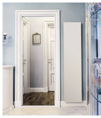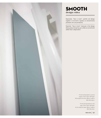## **SMOOTH design ridea**

Essenziale, "less is more", perchè nel design togliere e rinunciare è spesso un arricchimento piuttosto che una privazione.

 $\small \begin{minipage}{0.5\linewidth} \begin{minipage}{0.5\linewidth} \begin{minipage}{0.5\linewidth} \end{minipage} \begin{minipage}{0.5\linewidth} \end{minipage} \begin{minipage}{0.5\linewidth} \begin{minipage}{0.5\linewidth} \end{minipage} \begin{minipage}{0.5\linewidth} \end{minipage} \begin{minipage}{0.5\linewidth} \end{minipage} \begin{minipage}{0.5\linewidth} \end{minipage} \begin{minipage}{0.5\linewidth} \end{minipage} \begin{minipage}{0.5\linewidth} \end{minipage} \begin{minipage}{0.5\linewidth} \end{minipage$ 

www.www.www.www.ww Essential, "less is more", because in the design taking away and giving up is often an enrichment rather than a deprivation.

> *Finitura fotografata in questa pagina: Silver Satin SAP 13931. Nella pagina accanto: Bianco traffico RAL 9016 opaco.*

*Finish photographed on this page: Silver Satin SAP 13931. On the opposite page: Bianco traffico RAL 9016 matt.*

**RIDEA 2015** 121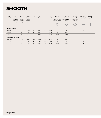## SMOOTH

| hxb<br>$\epsilon$ (cm) | $\mathbf n$<br>numero<br>elementi/<br>elements<br>number | peso a<br>vuoto/<br>weight<br>empty<br>(kg) | volume<br>d'acqua /<br>water<br>volume<br>$(dm^3)$ | a<br>$\text{(cm)}$ | $\mathbf c$<br>$\text{(cm)}$ | d<br>$\text{(cm)}$ | e<br>$\text{(cm)}$ | Qs resa<br>termica/<br>thermal yield<br>$\Box$ t 50°C (watt) | Q potenza<br>elettrica/<br>electrical power<br>(watt) | versione<br>$mista*$<br>combined<br>version* | apribile $**/$<br>opening** | apribile/<br>opening     |
|------------------------|----------------------------------------------------------|---------------------------------------------|----------------------------------------------------|--------------------|------------------------------|--------------------|--------------------|--------------------------------------------------------------|-------------------------------------------------------|----------------------------------------------|-----------------------------|--------------------------|
|                        |                                                          |                                             |                                                    |                    |                              |                    |                    | $\triangle$                                                  | $\boldsymbol{G}$                                      | $\boldsymbol{\mathcal{L}}$                   | $\overline{\phantom{0}}$    |                          |
| verticale/vertical     |                                                          |                                             |                                                    |                    |                              |                    |                    |                                                              |                                                       |                                              |                             |                          |
| 120,0x40,0             | 1                                                        | 13,0                                        | 0,26                                               | 28,0               | 64,0                         | 28,0               | 64,0               | 553                                                          | 540                                                   | $\bullet$                                    | $\overline{\phantom{a}}$    | $\bullet$                |
| 180,0x50,0             | $\mathbf{1}$                                             | 24,0                                        | 0,42                                               | 43,0               | 94,0                         | 43,0               | 94,0               | 913                                                          | 900                                                   | $\bullet$                                    | $\sim$                      | $\bullet$                |
| 200,0x60,0             | $\mathbf{1}$                                             | 32,0                                        | 0,58                                               | 53,0               | 94,0                         | 53,0               | 94,0               | 1201                                                         | 1200                                                  | $\bullet$                                    | $\overline{\phantom{a}}$    | $\bullet$                |
| orizzontale/horizontal |                                                          |                                             |                                                    |                    |                              |                    |                    |                                                              |                                                       |                                              |                             |                          |
| 40,0x120,0             | $\mathbf{1}$                                             | 13,0                                        | 0,26                                               | 28,0               | 64,0                         | 28,0               | 64,0               | 553                                                          | 540                                                   | $\bullet$                                    | $\bullet$                   | $\overline{a}$           |
| 50,0x180,0             |                                                          | 24,0                                        | 0,42                                               | 43,0               | 94,0                         | 43,0               | 94,0               | 913                                                          | 900                                                   | $\bullet$                                    | $\bullet$                   | $\overline{\phantom{a}}$ |
| 60,0x200,0             |                                                          | 32,0                                        | 0,58                                               | 53,0               | 94,0                         | 53,0               | 94,0               | 1201                                                         | 1200                                                  | $\bullet$                                    | $\bullet$                   |                          |